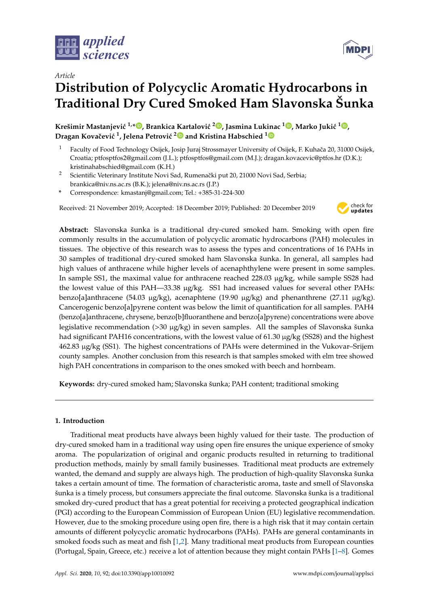

*Article*

# **Distribution of Polycyclic Aromatic Hydrocarbons in Traditional Dry Cured Smoked Ham Slavonska Šunka**

 $\bf{K}$ rešimir Mastanjević <sup>1,</sup>[\\*](https://orcid.org/0000-0002-2110-6141) $\bf{0}$ [,](https://orcid.org/0000-0001-8790-5256) Brankica Kartalović <sup>2</sup> $\bf{0}$ , Jasmina Lukinac <sup>1</sup> $\bf{0}$ , Marko Jukić <sup>1</sup> $\bf{0}$ , **Dragan Kovaˇcevi´c <sup>1</sup> , Jelena Petrovi´c [2](https://orcid.org/0000-0001-5556-8558) and Kristina Habschied [1](https://orcid.org/0000-0001-9404-5688)**

- Faculty of Food Technology Osijek, Josip Juraj Strossmayer University of Osijek, F. Kuhača 20, 31000 Osijek, Croatia; ptfosptfos2@gmail.com (J.L.); ptfosptfos@gmail.com (M.J.); dragan.kovacevic@ptfos.hr (D.K.); kristinahabschied@gmail.com (K.H.)
- <sup>2</sup> Scientific Veterinary Institute Novi Sad, Rumenački put 20, 21000 Novi Sad, Serbia; brankica@niv.ns.ac.rs (B.K.); jelena@niv.ns.ac.rs (J.P.)
- **\*** Correspondence: kmastanj@gmail.com; Tel.: +385-31-224-300

Received: 21 November 2019; Accepted: 18 December 2019; Published: 20 December 2019



**Abstract:** Slavonska šunka is a traditional dry-cured smoked ham. Smoking with open fire commonly results in the accumulation of polycyclic aromatic hydrocarbons (PAH) molecules in tissues. The objective of this research was to assess the types and concentrations of 16 PAHs in 30 samples of traditional dry-cured smoked ham Slavonska šunka. In general, all samples had high values of anthracene while higher levels of acenaphthylene were present in some samples. In sample SS1, the maximal value for anthracene reached 228.03 µg/kg, while sample SS28 had the lowest value of this PAH—33.38 µg/kg. SS1 had increased values for several other PAHs: benzo[a]anthracene (54.03  $\mu$ g/kg), acenaphtene (19.90  $\mu$ g/kg) and phenanthrene (27.11  $\mu$ g/kg). Cancerogenic benzo[a]pyrene content was below the limit of quantification for all samples. PAH4 (benzo[a]anthracene, chrysene, benzo[b]fluoranthene and benzo[a]pyrene) concentrations were above legislative recommendation  $(>30 \mu g/kg)$  in seven samples. All the samples of Slavonska šunka had significant PAH16 concentrations, with the lowest value of 61.30  $\mu$ g/kg (SS28) and the highest 462.83 µg/kg (SS1). The highest concentrations of PAHs were determined in the Vukovar–Srijem county samples. Another conclusion from this research is that samples smoked with elm tree showed high PAH concentrations in comparison to the ones smoked with beech and hornbeam.

**Keywords:** dry-cured smoked ham; Slavonska šunka; PAH content; traditional smoking

## **1. Introduction**

Traditional meat products have always been highly valued for their taste. The production of dry-cured smoked ham in a traditional way using open fire ensures the unique experience of smoky aroma. The popularization of original and organic products resulted in returning to traditional production methods, mainly by small family businesses. Traditional meat products are extremely wanted, the demand and supply are always high. The production of high-quality Slavonska šunka takes a certain amount of time. The formation of characteristic aroma, taste and smell of Slavonska šunka is a timely process, but consumers appreciate the final outcome. Slavonska šunka is a traditional smoked dry-cured product that has a great potential for receiving a protected geographical indication (PGI) according to the European Commission of European Union (EU) legislative recommendation. However, due to the smoking procedure using open fire, there is a high risk that it may contain certain amounts of different polycyclic aromatic hydrocarbons (PAHs). PAHs are general contaminants in smoked foods such as meat and fish [\[1,](#page-6-0)[2\]](#page-6-1). Many traditional meat products from European counties (Portugal, Spain, Greece, etc.) receive a lot of attention because they might contain PAHs [\[1](#page-6-0)[–8\]](#page-6-2). Gomes

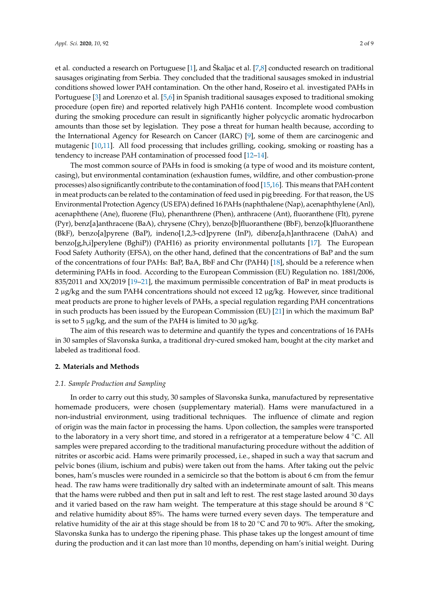et al. conducted a research on Portuguese [\[1\]](#page-6-0), and Škaljac et al. [\[7,](#page-6-3)[8\]](#page-6-2) conducted research on traditional sausages originating from Serbia. They concluded that the traditional sausages smoked in industrial conditions showed lower PAH contamination. On the other hand, Roseiro et al. investigated PAHs in Portuguese [\[3\]](#page-6-4) and Lorenzo et al. [\[5,](#page-6-5)[6\]](#page-6-6) in Spanish traditional sausages exposed to traditional smoking procedure (open fire) and reported relatively high PAH16 content. Incomplete wood combustion during the smoking procedure can result in significantly higher polycyclic aromatic hydrocarbon amounts than those set by legislation. They pose a threat for human health because, according to the International Agency for Research on Cancer (IARC) [\[9\]](#page-6-7), some of them are carcinogenic and mutagenic [\[10,](#page-7-0)[11\]](#page-7-1). All food processing that includes grilling, cooking, smoking or roasting has a tendency to increase PAH contamination of processed food [\[12](#page-7-2)[–14\]](#page-7-3).

The most common source of PAHs in food is smoking (a type of wood and its moisture content, casing), but environmental contamination (exhaustion fumes, wildfire, and other combustion-prone processes) also significantly contribute to the contamination of food [\[15,](#page-7-4)[16\]](#page-7-5). This means that PAH content in meat products can be related to the contamination of feed used in pig breeding. For that reason, the US Environmental Protection Agency (US EPA) defined 16 PAHs (naphthalene (Nap), acenaphthylene (Anl), acenaphthene (Ane), fluorene (Flu), phenanthrene (Phen), anthracene (Ant), fluoranthene (Flt), pyrene (Pyr), benz[a]anthracene (BaA), chrysene (Chry), benzo[b]fluoranthene (BbF), benzo[k]fluoranthene (BkF), benzo[a]pyrene (BaP), indeno[1,2,3-cd]pyrene (InP), dibenz[a,h]anthracene (DahA) and benzo[g,h,i]perylene (BghiP)) (PAH16) as priority environmental pollutants [\[17\]](#page-7-6). The European Food Safety Authority (EFSA), on the other hand, defined that the concentrations of BaP and the sum of the concentrations of four PAHs: BaP, BaA, BbF and Chr (PAH4) [\[18\]](#page-7-7), should be a reference when determining PAHs in food. According to the European Commission (EU) Regulation no. 1881/2006, 835/2011 and XX/2019 [\[19–](#page-7-8)[21\]](#page-7-9), the maximum permissible concentration of BaP in meat products is 2  $\mu$ g/kg and the sum PAH4 concentrations should not exceed 12  $\mu$ g/kg. However, since traditional meat products are prone to higher levels of PAHs, a special regulation regarding PAH concentrations in such products has been issued by the European Commission (EU) [\[21\]](#page-7-9) in which the maximum BaP is set to  $5 \mu g/kg$ , and the sum of the PAH4 is limited to  $30 \mu g/kg$ .

The aim of this research was to determine and quantify the types and concentrations of 16 PAHs in 30 samples of Slavonska šunka, a traditional dry-cured smoked ham, bought at the city market and labeled as traditional food.

### **2. Materials and Methods**

### *2.1. Sample Production and Sampling*

In order to carry out this study, 30 samples of Slavonska šunka, manufactured by representative homemade producers, were chosen (supplementary material). Hams were manufactured in a non-industrial environment, using traditional techniques. The influence of climate and region of origin was the main factor in processing the hams. Upon collection, the samples were transported to the laboratory in a very short time, and stored in a refrigerator at a temperature below 4 ◦C. All samples were prepared according to the traditional manufacturing procedure without the addition of nitrites or ascorbic acid. Hams were primarily processed, i.e., shaped in such a way that sacrum and pelvic bones (ilium, ischium and pubis) were taken out from the hams. After taking out the pelvic bones, ham's muscles were rounded in a semicircle so that the bottom is about 6 cm from the femur head. The raw hams were traditionally dry salted with an indeterminate amount of salt. This means that the hams were rubbed and then put in salt and left to rest. The rest stage lasted around 30 days and it varied based on the raw ham weight. The temperature at this stage should be around 8 ◦C and relative humidity about 85%. The hams were turned every seven days. The temperature and relative humidity of the air at this stage should be from 18 to 20  $\degree$ C and 70 to 90%. After the smoking, Slavonska šunka has to undergo the ripening phase. This phase takes up the longest amount of time during the production and it can last more than 10 months, depending on ham's initial weight. During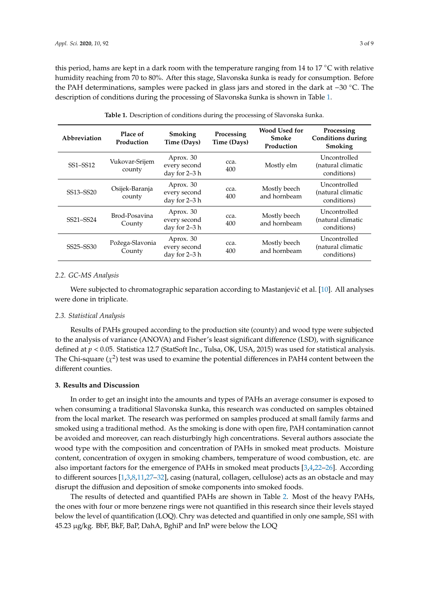this period, hams are kept in a dark room with the temperature ranging from 14 to 17  $\degree$ C with relative humidity reaching from 70 to 80%. After this stage, Slavonska šunka is ready for consumption. Before the PAH determinations, samples were packed in glass jars and stored in the dark at −30 ◦C. The description of conditions during the processing of Slavonska šunka is shown in Table [1.](#page-2-0)

<span id="page-2-0"></span>

| Abbreviation | Place of<br>Production                                                  | Smoking<br>Time (Days)                                    | Processing<br>Time (Days) | <b>Wood Used for</b><br>Smoke<br>Production | Processing<br><b>Conditions during</b><br>Smoking |
|--------------|-------------------------------------------------------------------------|-----------------------------------------------------------|---------------------------|---------------------------------------------|---------------------------------------------------|
| SS1-SS12     | Vukovar-Srijem<br>county                                                | Aprox. 30<br>every second<br>day for 2-3 h                | cca.<br>400               | Mostly elm                                  | Uncontrolled<br>(natural climatic<br>conditions)  |
| SS13-SS20    | Osijek-Baranja<br>county                                                | Aprox. 30<br>every second<br>day for 2-3 h                | cca.<br>400               | Mostly beech<br>and hornbeam                | Uncontrolled<br>(natural climatic<br>conditions)  |
| SS21-SS24    | Brod-Posavina<br>County                                                 | Aprox. 30<br>cca.<br>every second<br>400<br>day for 2-3 h |                           | Mostly beech<br>and hornbeam                | Uncontrolled<br>(natural climatic<br>conditions)  |
| SS25-SS30    | Aprox. 30<br>Požega-Slavonia<br>every second<br>County<br>day for 2-3 h |                                                           | cca.<br>400               | Mostly beech<br>and hornbeam                | Uncontrolled<br>(natural climatic<br>conditions)  |

**Table 1.** Description of conditions during the processing of Slavonska šunka.

### *2.2. GC-MS Analysis*

Were subjected to chromatographic separation according to Mastanjević et al.  $[10]$ . All analyses were done in triplicate.

#### *2.3. Statistical Analysis*

Results of PAHs grouped according to the production site (county) and wood type were subjected to the analysis of variance (ANOVA) and Fisher's least significant difference (LSD), with significance defined at  $p < 0.05$ . Statistica 12.7 (StatSoft Inc., Tulsa, OK, USA, 2015) was used for statistical analysis. The Chi-square  $(\chi^2)$  test was used to examine the potential differences in PAH4 content between the different counties.

### **3. Results and Discussion**

In order to get an insight into the amounts and types of PAHs an average consumer is exposed to when consuming a traditional Slavonska šunka, this research was conducted on samples obtained from the local market. The research was performed on samples produced at small family farms and smoked using a traditional method. As the smoking is done with open fire, PAH contamination cannot be avoided and moreover, can reach disturbingly high concentrations. Several authors associate the wood type with the composition and concentration of PAHs in smoked meat products. Moisture content, concentration of oxygen in smoking chambers, temperature of wood combustion, etc. are also important factors for the emergence of PAHs in smoked meat products [\[3](#page-6-4)[,4](#page-6-8)[,22–](#page-7-10)[26\]](#page-7-11). According to different sources [\[1](#page-6-0)[,3](#page-6-4)[,8,](#page-6-2)[11](#page-7-1)[,27](#page-7-12)[–32\]](#page-8-0), casing (natural, collagen, cellulose) acts as an obstacle and may disrupt the diffusion and deposition of smoke components into smoked foods.

The results of detected and quantified PAHs are shown in Table [2.](#page-3-0) Most of the heavy PAHs, the ones with four or more benzene rings were not quantified in this research since their levels stayed below the level of quantification (LOQ). Chry was detected and quantified in only one sample, SS1 with 45.23 µg/kg. BbF, BkF, BaP, DahA, BghiP and InP were below the LOQ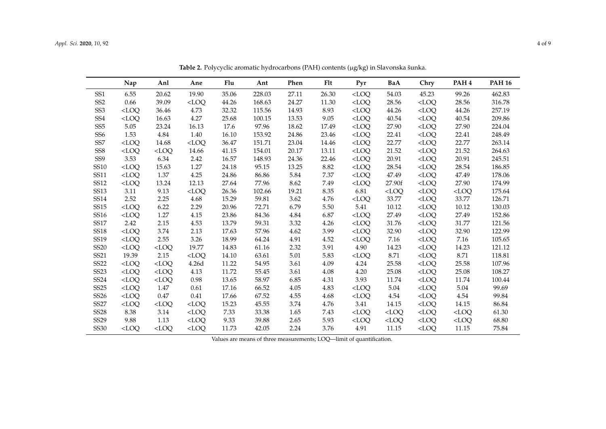<span id="page-3-0"></span>

|                  | Nap     | Anl     | Ane     | Flu   | Ant    | Phen  | Flt   | Pyr     | BaA     | Chry    | PAH <sub>4</sub> | <b>PAH 16</b> |
|------------------|---------|---------|---------|-------|--------|-------|-------|---------|---------|---------|------------------|---------------|
| SS <sub>1</sub>  | 6.55    | 20.62   | 19.90   | 35.06 | 228.03 | 27.11 | 26.30 | $<$ LOO | 54.03   | 45.23   | 99.26            | 462.83        |
| SS <sub>2</sub>  | 0.66    | 39.09   | $<$ LOO | 44.26 | 168.63 | 24.27 | 11.30 | $<$ LOO | 28.56   | $<$ LOO | 28.56            | 316.78        |
| SS <sub>3</sub>  | $<$ LOO | 36.46   | 4.73    | 32.32 | 115.56 | 14.93 | 8.93  | $<$ LOO | 44.26   | $<$ LOO | 44.26            | 257.19        |
| SS <sub>4</sub>  | $<$ LOO | 16.63   | 4.27    | 25.68 | 100.15 | 13.53 | 9.05  | $<$ LOQ | 40.54   | $<$ LOQ | 40.54            | 209.86        |
| SS <sub>5</sub>  | 5.05    | 23.24   | 16.13   | 17.6  | 97.96  | 18.62 | 17.49 | $<$ LOQ | 27.90   | $<$ LOQ | 27.90            | 224.04        |
| SS <sub>6</sub>  | 1.53    | 4.84    | 1.40    | 16.10 | 153.92 | 24.86 | 23.46 | $<$ LOQ | 22.41   | $<$ LOQ | 22.41            | 248.49        |
| SS7              | $<$ LOQ | 14.68   | $<$ LOQ | 36.47 | 151.71 | 23.04 | 14.46 | $<$ LOQ | 22.77   | $<$ LOQ | 22.77            | 263.14        |
| SS <sub>8</sub>  | $<$ LOQ | $<$ LOQ | 14.66   | 41.15 | 154.01 | 20.17 | 13.11 | $<$ LOQ | 21.52   | $<$ LOQ | 21.52            | 264.63        |
| SS <sub>9</sub>  | 3.53    | 6.34    | 2.42    | 16.57 | 148.93 | 24.36 | 22.46 | $<$ LOQ | 20.91   | $<$ LOQ | 20.91            | 245.51        |
| <b>SS10</b>      | $<$ LOQ | 15.63   | 1.27    | 24.18 | 95.15  | 13.25 | 8.82  | $<$ LOQ | 28.54   | $<$ LOQ | 28.54            | 186.85        |
| SS11             | $<$ LOO | 1.37    | 4.25    | 24.86 | 86.86  | 5.84  | 7.37  | $<$ LOQ | 47.49   | $<$ LOQ | 47.49            | 178.06        |
| SS12             | $<$ LOQ | 13.24   | 12.13   | 27.64 | 77.96  | 8.62  | 7.49  | $<$ LOQ | 27.90f  | $<$ LOQ | 27.90            | 174.99        |
| SS13             | 3.11    | 9.13    | $<$ LOO | 26.36 | 102.66 | 19.21 | 8.35  | 6.81    | $<$ LOO | $<$ LOO | $<$ LOO          | 175.64        |
| <b>SS14</b>      | 2.52    | 2.25    | 4.68    | 15.29 | 59.81  | 3.62  | 4.76  | $<$ LOQ | 33.77   | $<$ LOO | 33.77            | 126.71        |
| SS15             | $<$ LOQ | 6.22    | 2.29    | 20.96 | 72.71  | 6.79  | 5.50  | 5.41    | 10.12   | $<$ LOQ | 10.12            | 130.03        |
| SS16             | $<$ LOO | 1.27    | 4.15    | 23.86 | 84.36  | 4.84  | 6.87  | $<$ LOQ | 27.49   | $<$ LOO | 27.49            | 152.86        |
| <b>SS17</b>      | 2.42    | 2.15    | 4.53    | 13.79 | 59.31  | 3.32  | 4.26  | $<$ LOO | 31.76   | $<$ LOQ | 31.77            | 121.56        |
| <b>SS18</b>      | $<$ LOO | 3.74    | 2.13    | 17.63 | 57.96  | 4.62  | 3.99  | $<$ LOO | 32.90   | $<$ LOO | 32.90            | 122.99        |
| SS19             | $<$ LOO | 2.55    | 3.26    | 18.99 | 64.24  | 4.91  | 4.52  | $<$ LOQ | 7.16    | $<$ LOQ | 7.16             | 105.65        |
| <b>SS20</b>      | $<$ LOQ | $<$ LOQ | 19.77   | 14.83 | 61.16  | 2.32  | 3.91  | 4.90    | 14.23   | $<$ LOQ | 14.23            | 121.12        |
| <b>SS21</b>      | 19.39   | 2.15    | $<$ LOQ | 14.10 | 63.61  | 5.01  | 5.83  | $<$ LOQ | 8.71    | $<$ LOQ | 8.71             | 118.81        |
| <b>SS22</b>      | $<$ LOQ | $<$ LOQ | 4.26d   | 11.22 | 54.95  | 3.61  | 4.09  | 4.24    | 25.58   | $<$ LOQ | 25.58            | 107.96        |
| <b>SS23</b>      | $<$ LOQ | $<$ LOQ | 4.13    | 11.72 | 55.45  | 3.61  | 4.08  | 4.20    | 25.08   | $<$ LOQ | 25.08            | 108.27        |
| SS24             | $<$ LOQ | $<$ LOQ | 0.98    | 13.65 | 58.97  | 6.85  | 4.31  | 3.93    | 11.74   | $<$ LOQ | 11.74            | 100.44        |
| <b>SS25</b>      | $<$ LOQ | 1.47    | 0.61    | 17.16 | 66.52  | 4.05  | 4.83  | $<$ LOQ | 5.04    | $<$ LOQ | 5.04             | 99.69         |
| SS <sub>26</sub> | $<$ LOO | 0.47    | 0.41    | 17.66 | 67.52  | 4.55  | 4.68  | $<$ LOQ | 4.54    | $<$ LOQ | 4.54             | 99.84         |
| <b>SS27</b>      | $<$ LOQ | $<$ LOQ | $<$ LOQ | 15.23 | 45.55  | 3.74  | 4.76  | 3.41    | 14.15   | $<$ LOQ | 14.15            | 86.84         |
| <b>SS28</b>      | 8.38    | 3.14    | $<$ LOQ | 7.33  | 33.38  | 1.65  | 7.43  | $<$ LOO | $<$ LOQ | $<$ LOQ | $<$ LOQ          | 61.30         |
| SS29             | 9.88    | 1.13    | $<$ LOO | 9.33  | 39.88  | 2.65  | 5.93  | $<$ LOO | $<$ LOQ | $<$ LOO | $<$ LOQ          | 68.80         |
| <b>SS30</b>      | $<$ LOO | $<$ LOO | $<$ LOQ | 11.73 | 42.05  | 2.24  | 3.76  | 4.91    | 11.15   | $<$ LOQ | 11.15            | 75.84         |

**Table 2.** Polycyclic aromatic hydrocarbons (PAH) contents (µg/kg) in Slavonska šunka.

Values are means of three measurements; LOQ—limit of quantification.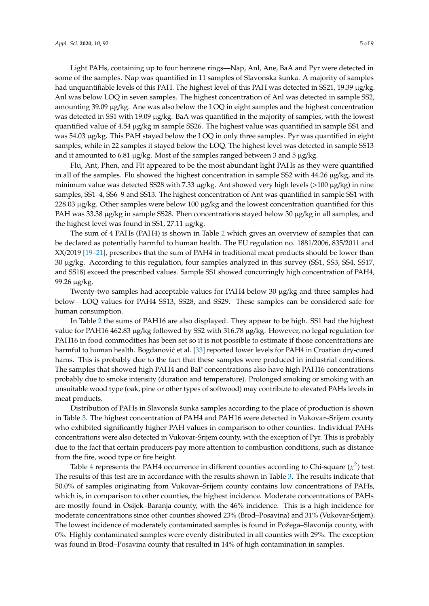Light PAHs, containing up to four benzene rings—Nap, Anl, Ane, BaA and Pyr were detected in some of the samples. Nap was quantified in 11 samples of Slavonska šunka. A majority of samples had unquantifiable levels of this PAH. The highest level of this PAH was detected in SS21, 19.39 µg/kg. Anl was below LOQ in seven samples. The highest concentration of Anl was detected in sample SS2, amounting 39.09 µg/kg. Ane was also below the LOQ in eight samples and the highest concentration was detected in SS1 with 19.09 µg/kg. BaA was quantified in the majority of samples, with the lowest quantified value of 4.54 µg/kg in sample SS26. The highest value was quantified in sample SS1 and was 54.03 µg/kg. This PAH stayed below the LOQ in only three samples. Pyr was quantified in eight samples, while in 22 samples it stayed below the LOQ. The highest level was detected in sample SS13 and it amounted to 6.81 µg/kg. Most of the samples ranged between 3 and 5 µg/kg.

Flu, Ant, Phen, and Flt appeared to be the most abundant light PAHs as they were quantified in all of the samples. Flu showed the highest concentration in sample SS2 with  $44.26 \mu g/kg$ , and its minimum value was detected SS28 with 7.33  $\mu$ g/kg. Ant showed very high levels (>100  $\mu$ g/kg) in nine samples, SS1–4, SS6–9 and SS13. The highest concentration of Ant was quantified in sample SS1 with 228.03 µg/kg. Other samples were below 100 µg/kg and the lowest concentration quantified for this PAH was 33.38 µg/kg in sample SS28. Phen concentrations stayed below 30 µg/kg in all samples, and the highest level was found in SS1, 27.11 µg/kg.

The sum of 4 PAHs (PAH4) is shown in Table [2](#page-3-0) which gives an overview of samples that can be declared as potentially harmful to human health. The EU regulation no. 1881/2006, 835/2011 and XX/2019 [\[19](#page-7-8)[–21\]](#page-7-9), prescribes that the sum of PAH4 in traditional meat products should be lower than 30 µg/kg. According to this regulation, four samples analyzed in this survey (SS1, SS3, SS4, SS17, and SS18) exceed the prescribed values. Sample SS1 showed concurringly high concentration of PAH4, 99.26 µg/kg.

Twenty-two samples had acceptable values for PAH4 below 30 µg/kg and three samples had below—LOQ values for PAH4 SS13, SS28, and SS29. These samples can be considered safe for human consumption.

In Table [2](#page-3-0) the sums of PAH16 are also displayed. They appear to be high. SS1 had the highest value for PAH16 462.83 µg/kg followed by SS2 with 316.78 µg/kg. However, no legal regulation for PAH16 in food commodities has been set so it is not possible to estimate if those concentrations are harmful to human health. Bogdanović et al. [\[33\]](#page-8-1) reported lower levels for PAH4 in Croatian dry-cured hams. This is probably due to the fact that these samples were produced in industrial conditions. The samples that showed high PAH4 and BaP concentrations also have high PAH16 concentrations probably due to smoke intensity (duration and temperature). Prolonged smoking or smoking with an unsuitable wood type (oak, pine or other types of softwood) may contribute to elevated PAHs levels in meat products.

Distribution of PAHs in Slavonsla šunka samples according to the place of production is shown in Table [3.](#page-5-0) The highest concentration of PAH4 and PAH16 were detected in Vukovar–Srijem county who exhibited significantly higher PAH values in comparison to other counties. Individual PAHs concentrations were also detected in Vukovar-Srijem county, with the exception of Pyr. This is probably due to the fact that certain producers pay more attention to combustion conditions, such as distance from the fire, wood type or fire height.

Table [4](#page-5-1) represents the PAH4 occurrence in different counties according to Chi-square  $(\chi^2)$  test. The results of this test are in accordance with the results shown in Table [3.](#page-5-0) The results indicate that 50.0% of samples originating from Vukovar–Srijem county contains low concentrations of PAHs, which is, in comparison to other counties, the highest incidence. Moderate concentrations of PAHs are mostly found in Osijek–Baranja county, with the 46% incidence. This is a high incidence for moderate concentrations since other counties showed 23% (Brod–Posavina) and 31% (Vukovar-Srijem). The lowest incidence of moderately contaminated samples is found in Požega–Slavonija county, with 0%. Highly contaminated samples were evenly distributed in all counties with 29%. The exception was found in Brod–Posavina county that resulted in 14% of high contamination in samples.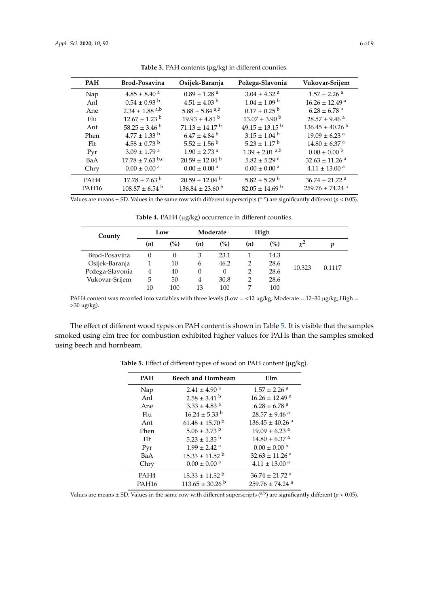$\overline{a}$ 

 $\overline{a}$ 

<span id="page-5-0"></span>

| <b>PAH</b>                         | <b>Brod-Posavina</b>           | Osijek-Baranja                 | Požega-Slavonia                | Vukovar-Srijem                  |
|------------------------------------|--------------------------------|--------------------------------|--------------------------------|---------------------------------|
| Nap                                | $4.85 \pm 8.40$ <sup>a</sup>   | $0.89 \pm 1.28$ <sup>a</sup>   | $3.04 \pm 4.32$ <sup>a</sup>   | $1.57 \pm 2.26$ <sup>a</sup>    |
| Anl                                | $0.54 \pm 0.93$ <sup>b</sup>   | $4.51 \pm 4.03$ b              | $1.04 \pm 1.09$ b              | $16.26 \pm 12.49$ <sup>a</sup>  |
| Ane                                | $2.34 \pm 1.88$ <sup>a,b</sup> | $5.88 \pm 5.84$ <sup>a,b</sup> | $0.17 \pm 0.25$ <sup>b</sup>   | $6.28 \pm 6.78$ <sup>a</sup>    |
| Flu                                | $12.67 \pm 1.23$ <sup>b</sup>  | $19.93 \pm 4.81$ <sup>b</sup>  | $13.07 \pm 3.90^{\mathrm{b}}$  | $28.57 \pm 9.46$ <sup>a</sup>   |
| Ant                                | $58.25 \pm 3.46^{\circ}$       | $71.13 \pm 14.17^{\text{ b}}$  | $49.15 \pm 13.15^{b}$          | $136.45 \pm 40.26$ <sup>a</sup> |
| Phen                               | $4.77 \pm 1.33$ b              | $6.47 \pm 4.84$ <sup>b</sup>   | $3.15 \pm 1.04^{\mathrm{b}}$   | $19.09 \pm 6.23$ <sup>a</sup>   |
| $F$ <sup><math>\rm{H}</math></sup> | $4.58 \pm 0.73$ b              | $5.52 \pm 1.56$ <sup>b</sup>   | $5.23 \pm 1.17^{\mathrm{b}}$   | $14.80 \pm 6.37$ <sup>a</sup>   |
| Pvr                                | $3.09 \pm 1.79$ <sup>a</sup>   | $1.90 \pm 2.73$ <sup>a</sup>   | $1.39 \pm 2.01$ <sup>a,b</sup> | $0.00 \pm 0.00^{\mathrm{b}}$    |
| BaA                                | $17.78 \pm 7.63$ b,c           | $20.59 \pm 12.04^{\circ}$      | $5.82 \pm 5.29$ c              | $32.63 \pm 11.26$ <sup>a</sup>  |
| Chry                               | $0.00 \pm 0.00$ <sup>a</sup>   | $0.00 \pm 0.00$ <sup>a</sup>   | $0.00 \pm 0.00$ <sup>a</sup>   | $4.11 \pm 13.00$ <sup>a</sup>   |
| PAH <sub>4</sub>                   | $17.78 \pm 7.63$ <sup>b</sup>  | $20.59 \pm 12.04^{\mathrm{b}}$ | $5.82 \pm 5.29$ b              | $36.74 \pm 21.72$ <sup>a</sup>  |
| PAH <sub>16</sub>                  | $108.87 \pm 6.54$ b            | $136.84 \pm 23.60$ b           | $82.05 \pm 14.69$ b            | $259.76 \pm 74.24$ <sup>a</sup> |

Table 3. PAH contents (µg/kg) in different counties.

<span id="page-5-1"></span>Values are means  $\pm$  SD. Values in the same row with different superscripts (<sup>a-c</sup>) are significantly different ( $p$  < 0.05).

| County          | Low          |     | Moderate       |      | High |      |        |        |
|-----------------|--------------|-----|----------------|------|------|------|--------|--------|
|                 | ( <i>n</i> ) | (%) | (n)            | (%)  | (n)  | (%)  |        | v      |
| Brod-Posavina   |              | 0   | 3              | 23.1 |      | 14.3 |        |        |
| Osijek-Baranja  |              | 10  | 6              | 46.2 | 2    | 28.6 | 10.323 | 0.1117 |
| Požega-Slavonia | 4            | 40  | 0              | 0    | 2    | 28.6 |        |        |
| Vukovar-Srijem  | 5            | 50  | $\overline{4}$ | 30.8 | 2    | 28.6 |        |        |
|                 | 10           | 100 | 13             | 100  | 7    | 100  |        |        |

Table 4. PAH4 (µg/kg) occurrence in different counties.

PAH4 content was recorded into variables with three levels (Low = <12 µg/kg; Moderate = 12–30 µg/kg; High =  $>30$   $\mu\mathrm{g/kg}$ ).

<span id="page-5-2"></span>The effect of different wood types on PAH content is shown in Table [5.](#page-5-2) It is visible that the samples smoked using elm tree for combustion exhibited higher values for PAHs than the samples smoked using beech and hornbeam.

| <b>PAH</b>        | <b>Beech and Hornbeam</b>      | Elm                             |
|-------------------|--------------------------------|---------------------------------|
| Nap               | $2.41 \pm 4.90$ <sup>a</sup>   | $1.57 \pm 2.26$ <sup>a</sup>    |
| Anl               | $2.58 \pm 3.41$ b              | $16.26 \pm 12.49$ <sup>a</sup>  |
| Ane               | $3.33 \pm 4.83$ <sup>a</sup>   | $6.28 \pm 6.78$ <sup>a</sup>    |
| Flu               | $16.24 \pm 5.33$ b             | $28.57 \pm 9.46$ <sup>a</sup>   |
| Ant               | $61.48 \pm 15.70$ b            | $136.45 \pm 40.26$ <sup>a</sup> |
| Phen              | $5.06 \pm 3.73$ b              | $19.09 \pm 6.23$ <sup>a</sup>   |
| Flt               | $5.23 \pm 1.35$ <sup>b</sup>   | $14.80 \pm 6.37$ <sup>a</sup>   |
| Pyr               | $1.99 \pm 2.42$ <sup>a</sup>   | $0.00 \pm 0.00$ b               |
| BaA               | $15.33 \pm 11.52$ <sup>b</sup> | $32.63 \pm 11.26$ <sup>a</sup>  |
| Chry              | $0.00 \pm 0.00$ <sup>a</sup>   | $4.11 \pm 13.00$ <sup>a</sup>   |
| PAH <sub>4</sub>  | $15.33 \pm 11.52$ <sup>b</sup> | $36.74 \pm 21.72$ <sup>a</sup>  |
| PAH <sub>16</sub> | $113.65 \pm 30.26$ b           | $259.76 \pm 74.24$ <sup>a</sup> |

Table 5. Effect of different types of wood on PAH content (µg/kg).

Values are means  $\pm$  SD. Values in the same row with different superscripts (<sup>a,b</sup>) are significantly different (*p* < 0.05).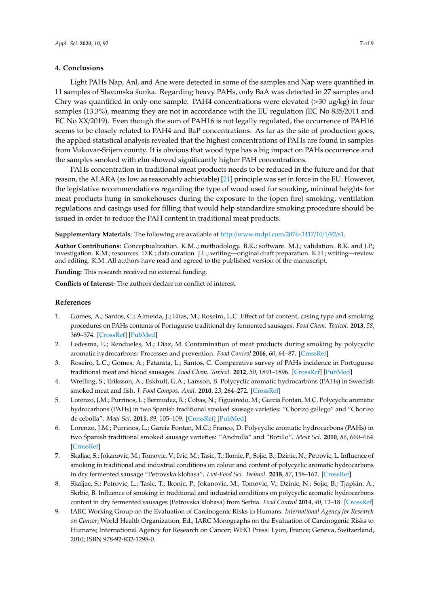### **4. Conclusions**

Light PAHs Nap, Anl, and Ane were detected in some of the samples and Nap were quantified in 11 samples of Slavonska šunka. Regarding heavy PAHs, only BaA was detected in 27 samples and Chry was quantified in only one sample. PAH4 concentrations were elevated  $(>30 \mu g/kg)$  in four samples (13.3%), meaning they are not in accordance with the EU regulation (EC No 835/2011 and EC No XX/2019). Even though the sum of PAH16 is not legally regulated, the occurrence of PAH16 seems to be closely related to PAH4 and BaP concentrations. As far as the site of production goes, the applied statistical analysis revealed that the highest concentrations of PAHs are found in samples from Vukovar-Srijem county. It is obvious that wood type has a big impact on PAHs occurrence and the samples smoked with elm showed significantly higher PAH concentrations.

PAHs concentration in traditional meat products needs to be reduced in the future and for that reason, the ALARA (as low as reasonably achievable) [\[21\]](#page-7-9) principle was set in force in the EU. However, the legislative recommendations regarding the type of wood used for smoking, minimal heights for meat products hung in smokehouses during the exposure to the (open fire) smoking, ventilation regulations and casings used for filling that would help standardize smoking procedure should be issued in order to reduce the PAH content in traditional meat products.

**Supplementary Materials:** The following are available at http://[www.mdpi.com](http://www.mdpi.com/2076-3417/10/1/92/s1)/2076-3417/10/1/92/s1.

**Author Contributions:** Conceptualization. K.M..; methodology. B.K.; software. M.J.; validation. B.K. and J.P.; investigation. K.M.; resources. D.K.; data curation. J.L.; writing—original draft preparation. K.H.; writing—review and editing. K.M. All authors have read and agreed to the published version of the manuscript.

**Funding:** This research received no external funding.

**Conflicts of Interest:** The authors declare no conflict of interest.

#### **References**

- <span id="page-6-0"></span>1. Gomes, A.; Santos, C.; Almeida, J.; Elias, M.; Roseiro, L.C. Effect of fat content, casing type and smoking procedures on PAHs contents of Portuguese traditional dry fermented sausages. *Food Chem. Toxicol.* **2013**, *58*, 369–374. [\[CrossRef\]](http://dx.doi.org/10.1016/j.fct.2013.05.015) [\[PubMed\]](http://www.ncbi.nlm.nih.gov/pubmed/23692922)
- <span id="page-6-1"></span>2. Ledesma, E.; Rendueles, M.; Diaz, M. Contamination of meat products during smoking by polycyclic aromatic hydrocarbons: Processes and prevention. *Food Control* **2016**, *60*, 64–87. [\[CrossRef\]](http://dx.doi.org/10.1016/j.foodcont.2015.07.016)
- <span id="page-6-4"></span>3. Roseiro, L.C.; Gomes, A.; Patarata, L.; Santos, C. Comparative survey of PAHs incidence in Portuguese traditional meat and blood sausages. *Food Chem. Toxicol.* **2012**, *50*, 1891–1896. [\[CrossRef\]](http://dx.doi.org/10.1016/j.fct.2012.03.054) [\[PubMed\]](http://www.ncbi.nlm.nih.gov/pubmed/22469922)
- <span id="page-6-8"></span>4. Wretling, S.; Eriksson, A.; Eskhult, G.A.; Larsson, B. Polycyclic aromatic hydrocarbons (PAHs) in Swedish smoked meat and fish. *J. Food Compos. Anal.* **2010**, *23*, 264–272. [\[CrossRef\]](http://dx.doi.org/10.1016/j.jfca.2009.10.003)
- <span id="page-6-5"></span>5. Lorenzo, J.M.; Purrinos, L.; Bermudez, R.; Cobas, N.; Figueiredo, M.; Garcia Fontan, M.C. Polycyclic aromatic hydrocarbons (PAHs) in two Spanish traditional smoked sausage varieties: "Chorizo gallego" and "Chorizo de cebolla". *Meat Sci.* **2011**, *89*, 105–109. [\[CrossRef\]](http://dx.doi.org/10.1016/j.meatsci.2011.03.017) [\[PubMed\]](http://www.ncbi.nlm.nih.gov/pubmed/21501932)
- <span id="page-6-6"></span>6. Lorenzo, J.M.; Purrinos, L.; Garcia Fontan, M.C.; Franco, D. Polycyclic aromatic hydrocarbons (PAHs) in two Spanish traditional smoked sausage varieties: "Androlla" and "Botillo". *Meat Sci.* **2010**, *86*, 660–664. [\[CrossRef\]](http://dx.doi.org/10.1016/j.meatsci.2010.05.032)
- <span id="page-6-3"></span>7. Skaljac, S.; Jokanovic, M.; Tomovic, V.; Ivic, M.; Tasic, T.; Ikonic, P.; Sojic, B.; Dzinic, N.; Petrovic, L. Influence of smoking in traditional and industrial conditions on colour and content of polycyclic aromatic hydrocarbons in dry fermented sausage "Petrovska klobasa". *Lwt-Food Sci. Technol.* **2018**, *87*, 158–162. [\[CrossRef\]](http://dx.doi.org/10.1016/j.lwt.2017.08.038)
- <span id="page-6-2"></span>8. Skaljac, S.; Petrovic, L.; Tasic, T.; Ikonic, P.; Jokanovic, M.; Tomovic, V.; Dzinic, N.; Sojic, B.; Tjapkin, A.; Skrbic, B. Influence of smoking in traditional and industrial conditions on polycyclic aromatic hydrocarbons content in dry fermented sausages (Petrovska klobasa) from Serbia. *Food Control* **2014**, *40*, 12–18. [\[CrossRef\]](http://dx.doi.org/10.1016/j.foodcont.2013.11.024)
- <span id="page-6-7"></span>9. IARC Working Group on the Evaluation of Carcinogenic Risks to Humans. *International Agency for Research on Cancer*; World Health Organization, Ed.; IARC Monographs on the Evaluation of Carcinogenic Risks to Humans; International Agency for Research on Cancer; WHO Press: Lyon, France; Geneva, Switzerland, 2010; ISBN 978-92-832-1298-0.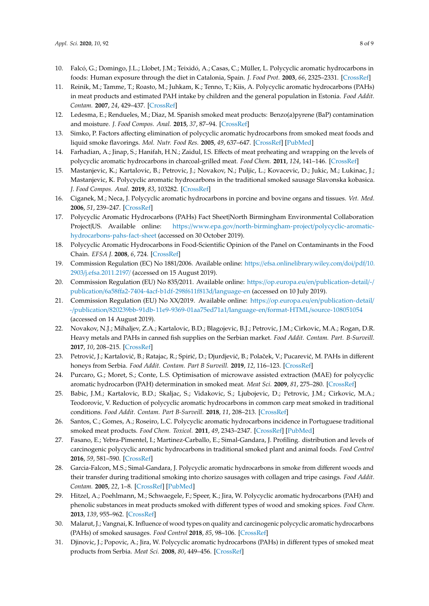- <span id="page-7-0"></span>10. Falcó, G.; Domingo, J.L.; Llobet, J.M.; Teixidó, A.; Casas, C.; Müller, L. Polycyclic aromatic hydrocarbons in foods: Human exposure through the diet in Catalonia, Spain. *J. Food Prot.* **2003**, *66*, 2325–2331. [\[CrossRef\]](http://dx.doi.org/10.4315/0362-028X-66.12.2325)
- <span id="page-7-1"></span>11. Reinik, M.; Tamme, T.; Roasto, M.; Juhkam, K.; Tenno, T.; Kiis, A. Polycyclic aromatic hydrocarbons (PAHs) in meat products and estimated PAH intake by children and the general population in Estonia. *Food Addit. Contam.* **2007**, *24*, 429–437. [\[CrossRef\]](http://dx.doi.org/10.1080/02652030601182862)
- <span id="page-7-2"></span>12. Ledesma, E.; Rendueles, M.; Diaz, M. Spanish smoked meat products: Benzo(a)pyrene (BaP) contamination and moisture. *J. Food Compos. Anal.* **2015**, *37*, 87–94. [\[CrossRef\]](http://dx.doi.org/10.1016/j.jfca.2014.09.004)
- 13. Simko, P. Factors affecting elimination of polycyclic aromatic hydrocarbons from smoked meat foods and liquid smoke flavorings. *Mol. Nutr. Food Res.* **2005**, *49*, 637–647. [\[CrossRef\]](http://dx.doi.org/10.1002/mnfr.200400091) [\[PubMed\]](http://www.ncbi.nlm.nih.gov/pubmed/15945119)
- <span id="page-7-3"></span>14. Farhadian, A.; Jinap, S.; Hanifah, H.N.; Zaidul, I.S. Effects of meat preheating and wrapping on the levels of polycyclic aromatic hydrocarbons in charcoal-grilled meat. *Food Chem.* **2011**, *124*, 141–146. [\[CrossRef\]](http://dx.doi.org/10.1016/j.foodchem.2010.05.116)
- <span id="page-7-4"></span>15. Mastanjevic, K.; Kartalovic, B.; Petrovic, J.; Novakov, N.; Puljic, L.; Kovacevic, D.; Jukic, M.; Lukinac, J.; Mastanjevic, K. Polycyclic aromatic hydrocarbons in the traditional smoked sausage Slavonska kobasica. *J. Food Compos. Anal.* **2019**, *83*, 103282. [\[CrossRef\]](http://dx.doi.org/10.1016/j.jfca.2019.103282)
- <span id="page-7-5"></span>16. Ciganek, M.; Neca, J. Polycyclic aromatic hydrocarbons in porcine and bovine organs and tissues. *Vet. Med.* **2006**, *51*, 239–247. [\[CrossRef\]](http://dx.doi.org/10.17221/5543-VETMED)
- <span id="page-7-6"></span>17. Polycyclic Aromatic Hydrocarbons (PAHs) Fact Sheet|North Birmingham Environmental Collaboration Project|US. Available online: https://www.epa.gov/[north-birmingham-project](https://www.epa.gov/north-birmingham-project/polycyclic-aromatic-hydrocarbons-pahs-fact-sheet)/polycyclic-aromatic[hydrocarbons-pahs-fact-sheet](https://www.epa.gov/north-birmingham-project/polycyclic-aromatic-hydrocarbons-pahs-fact-sheet) (accessed on 30 October 2019).
- <span id="page-7-7"></span>18. Polycyclic Aromatic Hydrocarbons in Food-Scientific Opinion of the Panel on Contaminants in the Food Chain. *EFSA J.* **2008**, *6*, 724. [\[CrossRef\]](http://dx.doi.org/10.2903/j.efsa.2008.724)
- <span id="page-7-8"></span>19. Commission Regulation (EC) No 1881/2006. Available online: https://[efsa.onlinelibrary.wiley.com](https://efsa.onlinelibrary.wiley.com/doi/pdf/10.2903/j.efsa.2011.2197/)/doi/pdf/10. 2903/[j.efsa.2011.2197](https://efsa.onlinelibrary.wiley.com/doi/pdf/10.2903/j.efsa.2011.2197/)/ (accessed on 15 August 2019).
- 20. Commission Regulation (EU) No 835/2011. Available online: https://op.europa.eu/en/[publication-detail](https://op.europa.eu/en/publication-detail/-/publication/6a58ffa2-7404-4acf-b1df-298f611f813d/language-en)/-/ publication/6a58ff[a2-7404-4acf-b1df-298f611f813d](https://op.europa.eu/en/publication-detail/-/publication/6a58ffa2-7404-4acf-b1df-298f611f813d/language-en)/language-en (accessed on 10 July 2019).
- <span id="page-7-9"></span>21. Commission Regulation (EU) No XX/2019. Available online: https://op.europa.eu/en/[publication-detail](https://op.europa.eu/en/publication-detail/-/publication/820239bb-91db-11e9-9369-01aa75ed71a1/language-en/format-HTML/source-108051054)/ -/publication/[820239bb-91db-11e9-9369-01aa75ed71a1](https://op.europa.eu/en/publication-detail/-/publication/820239bb-91db-11e9-9369-01aa75ed71a1/language-en/format-HTML/source-108051054)/language-en/format-HTML/source-108051054 (accessed on 14 August 2019).
- <span id="page-7-10"></span>22. Novakov, N.J.; Mihaljev, Z.A.; Kartalovic, B.D.; Blagojevic, B.J.; Petrovic, J.M.; Cirkovic, M.A.; Rogan, D.R. Heavy metals and PAHs in canned fish supplies on the Serbian market. *Food Addit. Contam. Part. B-Surveill.* **2017**, *10*, 208–215. [\[CrossRef\]](http://dx.doi.org/10.1080/19393210.2017.1322150)
- 23. Petrović, J.; Kartalović, B.; Ratajac, R.; Spirić, D.; Djurdjević, B.; Polaček, V.; Pucarević, M. PAHs in different honeys from Serbia. *Food Addit. Contam. Part B Surveill.* **2019**, *12*, 116–123. [\[CrossRef\]](http://dx.doi.org/10.1080/19393210.2019.1569727)
- 24. Purcaro, G.; Moret, S.; Conte, L.S. Optimisation of microwave assisted extraction (MAE) for polycyclic aromatic hydrocarbon (PAH) determination in smoked meat. *Meat Sci.* **2009**, *81*, 275–280. [\[CrossRef\]](http://dx.doi.org/10.1016/j.meatsci.2008.08.002)
- 25. Babic, J.M.; Kartalovic, B.D.; Skaljac, S.; Vidakovic, S.; Ljubojevic, D.; Petrovic, J.M.; Cirkovic, M.A.; Teodorovic, V. Reduction of polycyclic aromatic hydrocarbons in common carp meat smoked in traditional conditions. *Food Addit. Contam. Part B-Surveill.* **2018**, *11*, 208–213. [\[CrossRef\]](http://dx.doi.org/10.1080/19393210.2018.1484821)
- <span id="page-7-11"></span>26. Santos, C.; Gomes, A.; Roseiro, L.C. Polycyclic aromatic hydrocarbons incidence in Portuguese traditional smoked meat products. *Food Chem. Toxicol.* **2011**, *49*, 2343–2347. [\[CrossRef\]](http://dx.doi.org/10.1016/j.fct.2011.06.036) [\[PubMed\]](http://www.ncbi.nlm.nih.gov/pubmed/21722696)
- <span id="page-7-12"></span>27. Fasano, E.; Yebra-Pimentel, I.; Martinez-Carballo, E.; Simal-Gandara, J. Profiling. distribution and levels of carcinogenic polycyclic aromatic hydrocarbons in traditional smoked plant and animal foods. *Food Control* **2016**, *59*, 581–590. [\[CrossRef\]](http://dx.doi.org/10.1016/j.foodcont.2015.06.036)
- 28. Garcia-Falcon, M.S.; Simal-Gandara, J. Polycyclic aromatic hydrocarbons in smoke from different woods and their transfer during traditional smoking into chorizo sausages with collagen and tripe casings. *Food Addit. Contam.* **2005**, *22*, 1–8. [\[CrossRef\]](http://dx.doi.org/10.1080/02652030400023119) [\[PubMed\]](http://www.ncbi.nlm.nih.gov/pubmed/15895605)
- 29. Hitzel, A.; Poehlmann, M.; Schwaegele, F.; Speer, K.; Jira, W. Polycyclic aromatic hydrocarbons (PAH) and phenolic substances in meat products smoked with different types of wood and smoking spices. *Food Chem.* **2013**, *139*, 955–962. [\[CrossRef\]](http://dx.doi.org/10.1016/j.foodchem.2013.02.011)
- 30. Malarut, J.; Vangnai, K. Influence of wood types on quality and carcinogenic polycyclic aromatic hydrocarbons (PAHs) of smoked sausages. *Food Control* **2018**, *85*, 98–106. [\[CrossRef\]](http://dx.doi.org/10.1016/j.foodcont.2017.09.020)
- 31. Djinovic, J.; Popovic, A.; Jira, W. Polycyclic aromatic hydrocarbons (PAHs) in different types of smoked meat products from Serbia. *Meat Sci.* **2008**, *80*, 449–456. [\[CrossRef\]](http://dx.doi.org/10.1016/j.meatsci.2008.01.008)